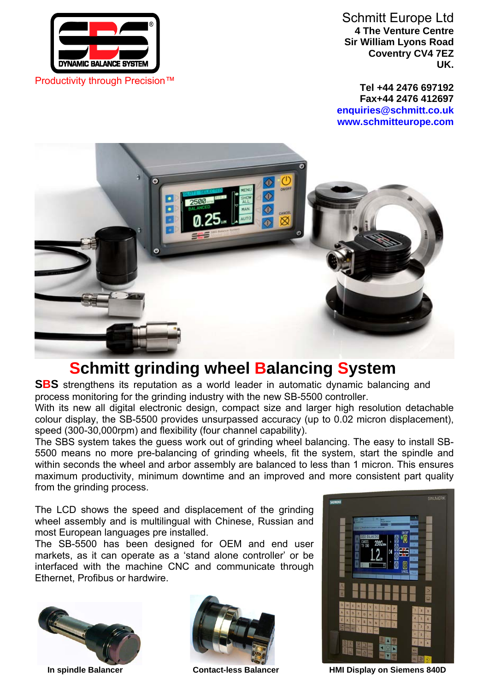

Schmitt Europe Ltd **4 The Venture Centre Sir William Lyons Road Coventry CV4 7EZ UK.**

**Tel +44 2476 697192 Fax+44 2476 412697 enquiries@schmitt.co.uk www.schmitteurope.com**



# **Schmitt grinding wheel Balancing System**

**SBS** strengthens its reputation as a world leader in automatic dynamic balancing and process monitoring for the grinding industry with the new SB-5500 controller.

With its new all digital electronic design, compact size and larger high resolution detachable colour display, the SB-5500 provides unsurpassed accuracy (up to 0.02 micron displacement), speed (300-30,000rpm) and flexibility (four channel capability).

The SBS system takes the guess work out of grinding wheel balancing. The easy to install SB-5500 means no more pre-balancing of grinding wheels, fit the system, start the spindle and within seconds the wheel and arbor assembly are balanced to less than 1 micron. This ensures maximum productivity, minimum downtime and an improved and more consistent part quality from the grinding process.

The LCD shows the speed and displacement of the grinding wheel assembly and is multilingual with Chinese, Russian and most European languages pre installed.

The SB-5500 has been designed for OEM and end user markets, as it can operate as a 'stand alone controller' or be interfaced with the machine CNC and communicate through Ethernet, Profibus or hardwire.







**In spindle Balancer Contact-less Balancer HMI Display on Siemens 840D**